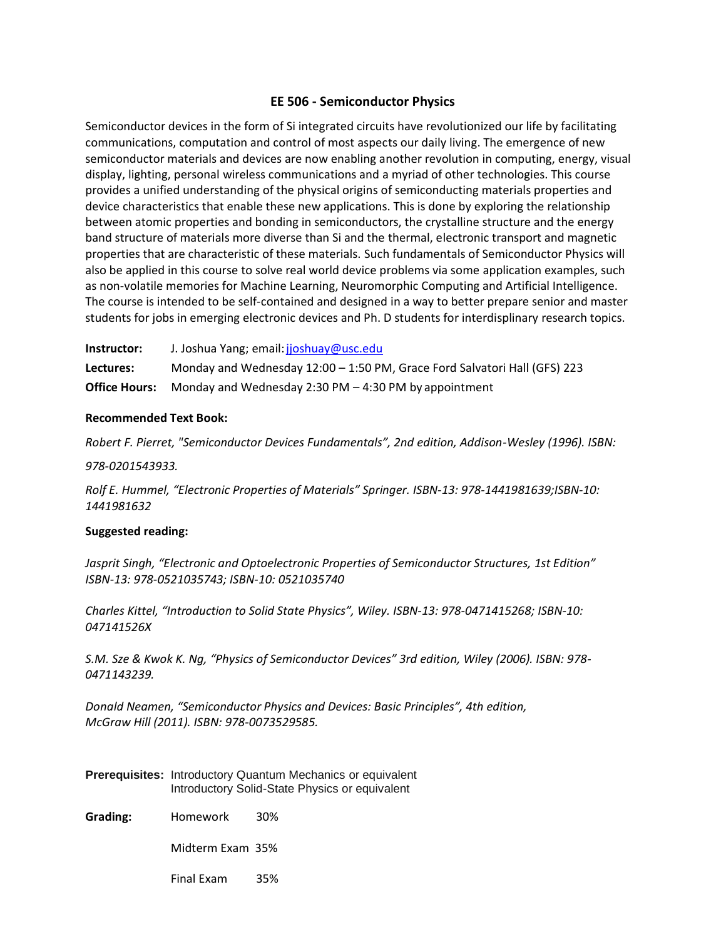## **EE 506 - Semiconductor Physics**

Semiconductor devices in the form of Si integrated circuits have revolutionized our life by facilitating communications, computation and control of most aspects our daily living. The emergence of new semiconductor materials and devices are now enabling another revolution in computing, energy, visual display, lighting, personal wireless communications and a myriad of other technologies. This course provides a unified understanding of the physical origins of semiconducting materials properties and device characteristics that enable these new applications. This is done by exploring the relationship between atomic properties and bonding in semiconductors, the crystalline structure and the energy band structure of materials more diverse than Si and the thermal, electronic transport and magnetic properties that are characteristic of these materials. Such fundamentals of Semiconductor Physics will also be applied in this course to solve real world device problems via some application examples, such as non-volatile memories for Machine Learning, Neuromorphic Computing and Artificial Intelligence. The course is intended to be self-contained and designed in a way to better prepare senior and master students for jobs in emerging electronic devices and Ph. D students for interdisplinary research topics.

**Instructor:** J. Joshua Yang; email[:jjoshuay@usc.edu](mailto:jjoshuay@usc.edu) **Lectures:** Monday and Wednesday 12:00 – 1:50 PM, Grace Ford Salvatori Hall (GFS) 223 **Office Hours:** Monday and Wednesday 2:30 PM – 4:30 PM by appointment

### **Recommended Text Book:**

*Robert F. Pierret, "Semiconductor Devices Fundamentals", 2nd edition, Addison-Wesley (1996). ISBN:* 

*978-0201543933.*

*Rolf E. Hummel, "Electronic Properties of Materials" Springer. ISBN-13: 978-1441981639;ISBN-10: 1441981632*

#### **Suggested reading:**

*Jasprit Singh, "Electronic and Optoelectronic Properties of Semiconductor Structures, 1st Edition" ISBN-13: 978-0521035743; ISBN-10: 0521035740*

*Charles Kittel, "Introduction to Solid State Physics", Wiley. ISBN-13: 978-0471415268; ISBN-10: 047141526X*

*S.M. Sze & Kwok K. Ng, "Physics of Semiconductor Devices" 3rd edition, Wiley (2006). ISBN: 978- 0471143239.*

*Donald Neamen, "Semiconductor Physics and Devices: Basic Principles", 4th edition, McGraw Hill (2011). ISBN: 978-0073529585.* 

**Prerequisites:** Introductory Quantum Mechanics or equivalent Introductory Solid-State Physics or equivalent

**Grading:** Homework 30%

Midterm Exam 35%

Final Exam 35%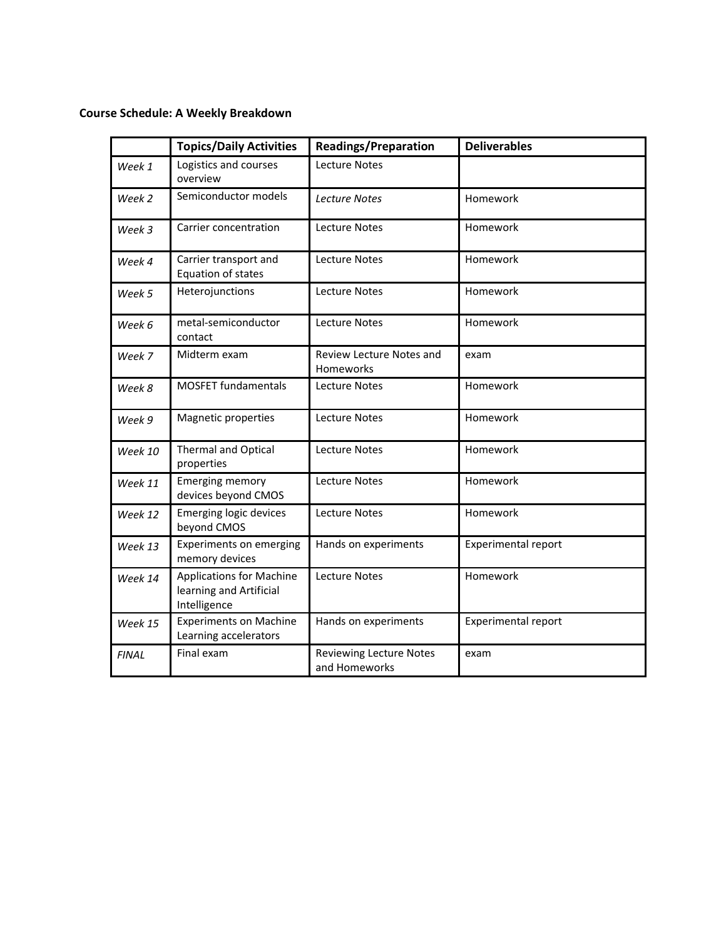# **Course Schedule: A Weekly Breakdown**

|              | <b>Topics/Daily Activities</b>                                             | <b>Readings/Preparation</b>                     | <b>Deliverables</b>        |
|--------------|----------------------------------------------------------------------------|-------------------------------------------------|----------------------------|
| Week 1       | Logistics and courses<br>overview                                          | Lecture Notes                                   |                            |
| Week 2       | Semiconductor models                                                       | <b>Lecture Notes</b>                            | Homework                   |
| Week 3       | Carrier concentration                                                      | Lecture Notes                                   | Homework                   |
| Week 4       | Carrier transport and<br>Equation of states                                | <b>Lecture Notes</b>                            | Homework                   |
| Week 5       | Heterojunctions                                                            | <b>Lecture Notes</b>                            | Homework                   |
| Week 6       | metal-semiconductor<br>contact                                             | <b>Lecture Notes</b>                            | Homework                   |
| Week 7       | Midterm exam                                                               | <b>Review Lecture Notes and</b><br>Homeworks    | exam                       |
| Week 8       | <b>MOSFET fundamentals</b>                                                 | Lecture Notes                                   | Homework                   |
| Week 9       | Magnetic properties                                                        | <b>Lecture Notes</b>                            | Homework                   |
| Week 10      | <b>Thermal and Optical</b><br>properties                                   | <b>Lecture Notes</b>                            | Homework                   |
| Week 11      | <b>Emerging memory</b><br>devices beyond CMOS                              | Lecture Notes                                   | Homework                   |
| Week 12      | <b>Emerging logic devices</b><br>beyond CMOS                               | <b>Lecture Notes</b>                            | Homework                   |
| Week 13      | <b>Experiments on emerging</b><br>memory devices                           | Hands on experiments                            | <b>Experimental report</b> |
| Week 14      | <b>Applications for Machine</b><br>learning and Artificial<br>Intelligence | <b>Lecture Notes</b>                            | Homework                   |
| Week 15      | <b>Experiments on Machine</b><br>Learning accelerators                     | Hands on experiments                            | <b>Experimental report</b> |
| <b>FINAL</b> | Final exam                                                                 | <b>Reviewing Lecture Notes</b><br>and Homeworks | exam                       |